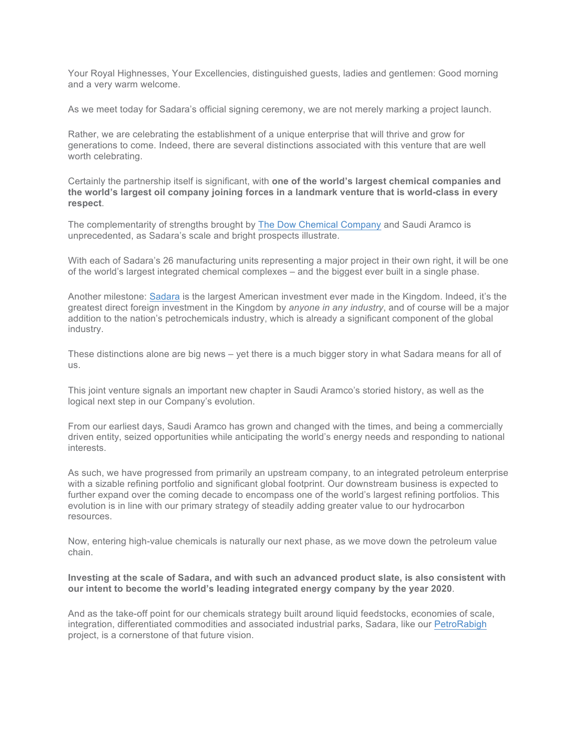Your Royal Highnesses, Your Excellencies, distinguished guests, ladies and gentlemen: Good morning and a very warm welcome.

As we meet today for Sadara's official signing ceremony, we are not merely marking a project launch.

Rather, we are celebrating the establishment of a unique enterprise that will thrive and grow for generations to come. Indeed, there are several distinctions associated with this venture that are well worth celebrating.

Certainly the partnership itself is significant, with **one of the world's largest chemical companies and the world's largest oil company joining forces in a landmark venture that is world-class in every respect**.

The complementarity of strengths brought by The Dow Chemical Company and Saudi Aramco is unprecedented, as Sadara's scale and bright prospects illustrate.

With each of Sadara's 26 manufacturing units representing a major project in their own right, it will be one of the world's largest integrated chemical complexes – and the biggest ever built in a single phase.

Another milestone: Sadara is the largest American investment ever made in the Kingdom. Indeed, it's the greatest direct foreign investment in the Kingdom by *anyone in any industry*, and of course will be a major addition to the nation's petrochemicals industry, which is already a significant component of the global industry.

These distinctions alone are big news – yet there is a much bigger story in what Sadara means for all of us.

This joint venture signals an important new chapter in Saudi Aramco's storied history, as well as the logical next step in our Company's evolution.

From our earliest days, Saudi Aramco has grown and changed with the times, and being a commercially driven entity, seized opportunities while anticipating the world's energy needs and responding to national interests.

As such, we have progressed from primarily an upstream company, to an integrated petroleum enterprise with a sizable refining portfolio and significant global footprint. Our downstream business is expected to further expand over the coming decade to encompass one of the world's largest refining portfolios. This evolution is in line with our primary strategy of steadily adding greater value to our hydrocarbon resources.

Now, entering high-value chemicals is naturally our next phase, as we move down the petroleum value chain.

## **Investing at the scale of Sadara, and with such an advanced product slate, is also consistent with our intent to become the world's leading integrated energy company by the year 2020**.

And as the take-off point for our chemicals strategy built around liquid feedstocks, economies of scale, integration, differentiated commodities and associated industrial parks, Sadara, like our PetroRabigh project, is a cornerstone of that future vision.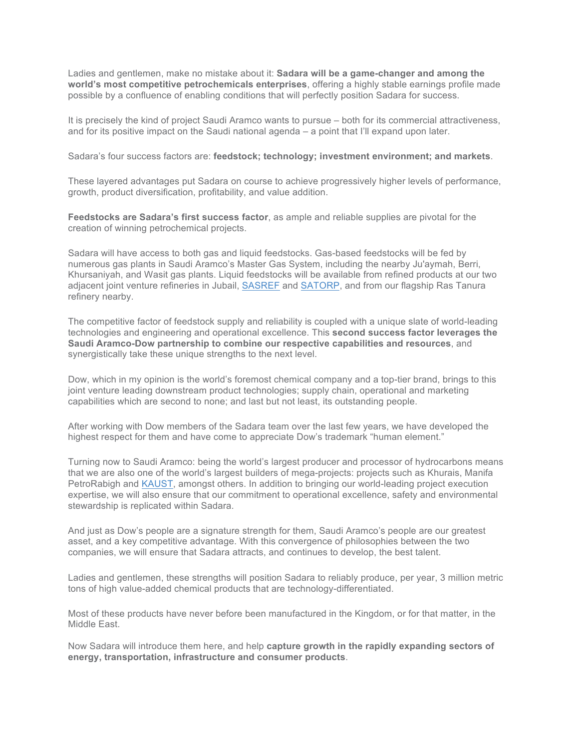Ladies and gentlemen, make no mistake about it: **Sadara will be a game-changer and among the world's most competitive petrochemicals enterprises**, offering a highly stable earnings profile made possible by a confluence of enabling conditions that will perfectly position Sadara for success.

It is precisely the kind of project Saudi Aramco wants to pursue – both for its commercial attractiveness, and for its positive impact on the Saudi national agenda – a point that I'll expand upon later.

Sadara's four success factors are: **feedstock; technology; investment environment; and markets**.

These layered advantages put Sadara on course to achieve progressively higher levels of performance, growth, product diversification, profitability, and value addition.

**Feedstocks are Sadara's first success factor**, as ample and reliable supplies are pivotal for the creation of winning petrochemical projects.

Sadara will have access to both gas and liquid feedstocks. Gas-based feedstocks will be fed by numerous gas plants in Saudi Aramco's Master Gas System, including the nearby Ju'aymah, Berri, Khursaniyah, and Wasit gas plants. Liquid feedstocks will be available from refined products at our two adjacent joint venture refineries in Jubail, SASREF and SATORP, and from our flagship Ras Tanura refinery nearby.

The competitive factor of feedstock supply and reliability is coupled with a unique slate of world-leading technologies and engineering and operational excellence. This **second success factor leverages the Saudi Aramco-Dow partnership to combine our respective capabilities and resources**, and synergistically take these unique strengths to the next level.

Dow, which in my opinion is the world's foremost chemical company and a top-tier brand, brings to this joint venture leading downstream product technologies; supply chain, operational and marketing capabilities which are second to none; and last but not least, its outstanding people.

After working with Dow members of the Sadara team over the last few years, we have developed the highest respect for them and have come to appreciate Dow's trademark "human element."

Turning now to Saudi Aramco: being the world's largest producer and processor of hydrocarbons means that we are also one of the world's largest builders of mega-projects: projects such as Khurais, Manifa PetroRabigh and KAUST, amongst others. In addition to bringing our world-leading project execution expertise, we will also ensure that our commitment to operational excellence, safety and environmental stewardship is replicated within Sadara.

And just as Dow's people are a signature strength for them, Saudi Aramco's people are our greatest asset, and a key competitive advantage. With this convergence of philosophies between the two companies, we will ensure that Sadara attracts, and continues to develop, the best talent.

Ladies and gentlemen, these strengths will position Sadara to reliably produce, per year, 3 million metric tons of high value-added chemical products that are technology-differentiated.

Most of these products have never before been manufactured in the Kingdom, or for that matter, in the Middle East.

Now Sadara will introduce them here, and help **capture growth in the rapidly expanding sectors of energy, transportation, infrastructure and consumer products**.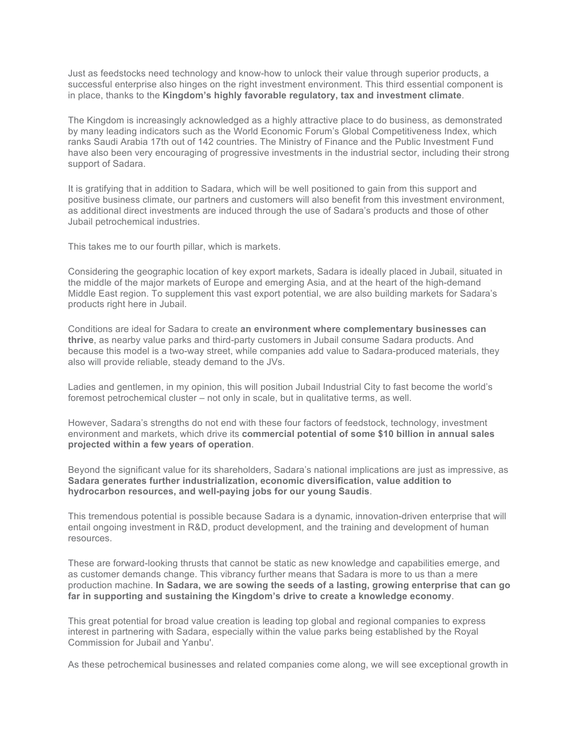Just as feedstocks need technology and know-how to unlock their value through superior products, a successful enterprise also hinges on the right investment environment. This third essential component is in place, thanks to the **Kingdom's highly favorable regulatory, tax and investment climate**.

The Kingdom is increasingly acknowledged as a highly attractive place to do business, as demonstrated by many leading indicators such as the World Economic Forum's Global Competitiveness Index, which ranks Saudi Arabia 17th out of 142 countries. The Ministry of Finance and the Public Investment Fund have also been very encouraging of progressive investments in the industrial sector, including their strong support of Sadara.

It is gratifying that in addition to Sadara, which will be well positioned to gain from this support and positive business climate, our partners and customers will also benefit from this investment environment, as additional direct investments are induced through the use of Sadara's products and those of other Jubail petrochemical industries.

This takes me to our fourth pillar, which is markets.

Considering the geographic location of key export markets, Sadara is ideally placed in Jubail, situated in the middle of the major markets of Europe and emerging Asia, and at the heart of the high-demand Middle East region. To supplement this vast export potential, we are also building markets for Sadara's products right here in Jubail.

Conditions are ideal for Sadara to create **an environment where complementary businesses can thrive**, as nearby value parks and third-party customers in Jubail consume Sadara products. And because this model is a two-way street, while companies add value to Sadara-produced materials, they also will provide reliable, steady demand to the JVs.

Ladies and gentlemen, in my opinion, this will position Jubail Industrial City to fast become the world's foremost petrochemical cluster – not only in scale, but in qualitative terms, as well.

However, Sadara's strengths do not end with these four factors of feedstock, technology, investment environment and markets, which drive its **commercial potential of some \$10 billion in annual sales projected within a few years of operation**.

Beyond the significant value for its shareholders, Sadara's national implications are just as impressive, as **Sadara generates further industrialization, economic diversification, value addition to hydrocarbon resources, and well-paying jobs for our young Saudis**.

This tremendous potential is possible because Sadara is a dynamic, innovation-driven enterprise that will entail ongoing investment in R&D, product development, and the training and development of human resources.

These are forward-looking thrusts that cannot be static as new knowledge and capabilities emerge, and as customer demands change. This vibrancy further means that Sadara is more to us than a mere production machine. **In Sadara, we are sowing the seeds of a lasting, growing enterprise that can go far in supporting and sustaining the Kingdom's drive to create a knowledge economy**.

This great potential for broad value creation is leading top global and regional companies to express interest in partnering with Sadara, especially within the value parks being established by the Royal Commission for Jubail and Yanbu'.

As these petrochemical businesses and related companies come along, we will see exceptional growth in